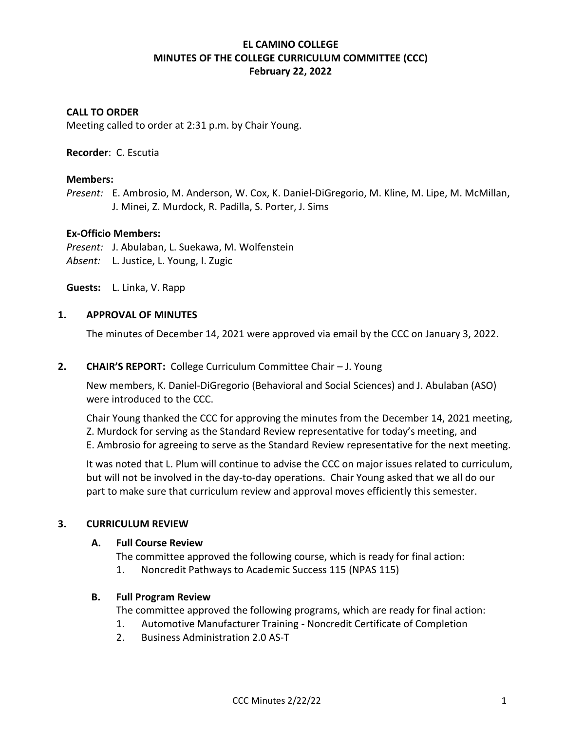# **EL CAMINO COLLEGE MINUTES OF THE COLLEGE CURRICULUM COMMITTEE (CCC) February 22, 2022**

## **CALL TO ORDER**

Meeting called to order at 2:31 p.m. by Chair Young.

### **Recorder**: C. Escutia

### **Members:**

*Present:* E. Ambrosio, M. Anderson, W. Cox, K. Daniel-DiGregorio, M. Kline, M. Lipe, M. McMillan, J. Minei, Z. Murdock, R. Padilla, S. Porter, J. Sims

### **Ex-Officio Members:**

*Present:* J. Abulaban, L. Suekawa, M. Wolfenstein *Absent:* L. Justice, L. Young, I. Zugic

**Guests:** L. Linka, V. Rapp

### **1. APPROVAL OF MINUTES**

The minutes of December 14, 2021 were approved via email by the CCC on January 3, 2022.

### **2. CHAIR'S REPORT:** College Curriculum Committee Chair – J. Young

New members, K. Daniel-DiGregorio (Behavioral and Social Sciences) and J. Abulaban (ASO) were introduced to the CCC.

Chair Young thanked the CCC for approving the minutes from the December 14, 2021 meeting, Z. Murdock for serving as the Standard Review representative for today's meeting, and E. Ambrosio for agreeing to serve as the Standard Review representative for the next meeting.

It was noted that L. Plum will continue to advise the CCC on major issues related to curriculum, but will not be involved in the day-to-day operations. Chair Young asked that we all do our part to make sure that curriculum review and approval moves efficiently this semester.

### **3. CURRICULUM REVIEW**

### **A. Full Course Review**

The committee approved the following course, which is ready for final action:

1. Noncredit Pathways to Academic Success 115 (NPAS 115)

### **B. Full Program Review**

The committee approved the following programs, which are ready for final action:

- 1. Automotive Manufacturer Training Noncredit Certificate of Completion
- 2. Business Administration 2.0 AS-T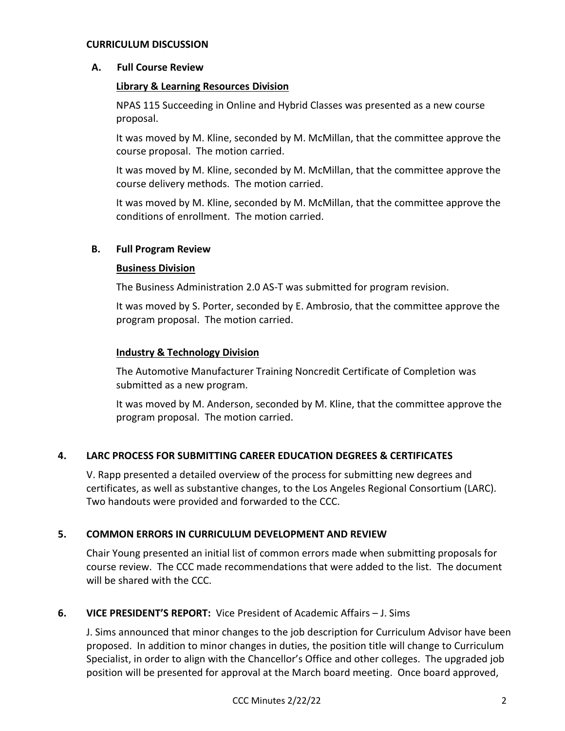### **CURRICULUM DISCUSSION**

### **A. Full Course Review**

## **Library & Learning Resources Division**

NPAS 115 Succeeding in Online and Hybrid Classes was presented as a new course proposal.

It was moved by M. Kline, seconded by M. McMillan, that the committee approve the course proposal. The motion carried.

It was moved by M. Kline, seconded by M. McMillan, that the committee approve the course delivery methods. The motion carried.

It was moved by M. Kline, seconded by M. McMillan, that the committee approve the conditions of enrollment. The motion carried.

## **B. Full Program Review**

## **Business Division**

The Business Administration 2.0 AS-T was submitted for program revision.

It was moved by S. Porter, seconded by E. Ambrosio, that the committee approve the program proposal. The motion carried.

## **Industry & Technology Division**

The Automotive Manufacturer Training Noncredit Certificate of Completion was submitted as a new program.

It was moved by M. Anderson, seconded by M. Kline, that the committee approve the program proposal. The motion carried.

## **4. LARC PROCESS FOR SUBMITTING CAREER EDUCATION DEGREES & CERTIFICATES**

V. Rapp presented a detailed overview of the process for submitting new degrees and certificates, as well as substantive changes, to the Los Angeles Regional Consortium (LARC). Two handouts were provided and forwarded to the CCC.

## **5. COMMON ERRORS IN CURRICULUM DEVELOPMENT AND REVIEW**

Chair Young presented an initial list of common errors made when submitting proposals for course review. The CCC made recommendations that were added to the list. The document will be shared with the CCC.

## **6. VICE PRESIDENT'S REPORT:** Vice President of Academic Affairs – J. Sims

J. Sims announced that minor changes to the job description for Curriculum Advisor have been proposed. In addition to minor changes in duties, the position title will change to Curriculum Specialist, in order to align with the Chancellor's Office and other colleges. The upgraded job position will be presented for approval at the March board meeting. Once board approved,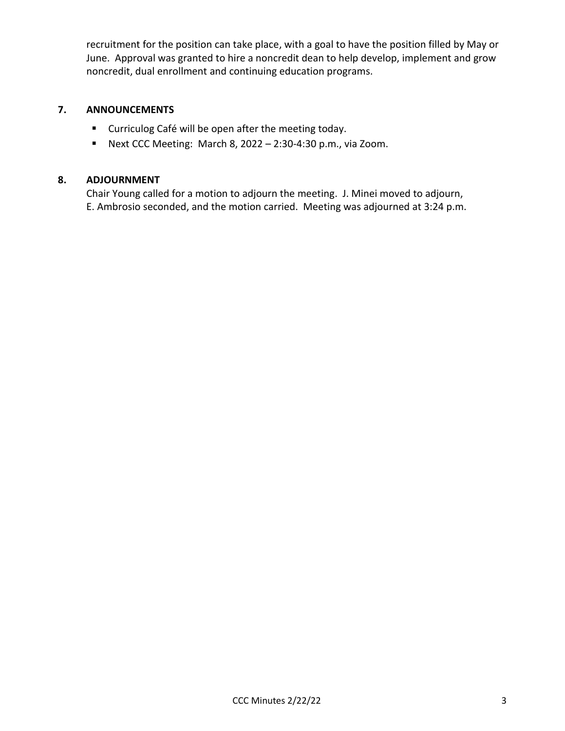recruitment for the position can take place, with a goal to have the position filled by May or June. Approval was granted to hire a noncredit dean to help develop, implement and grow noncredit, dual enrollment and continuing education programs.

# **7. ANNOUNCEMENTS**

- Curriculog Café will be open after the meeting today.
- Next CCC Meeting: March 8, 2022 2:30-4:30 p.m., via Zoom.

# **8. ADJOURNMENT**

Chair Young called for a motion to adjourn the meeting. J. Minei moved to adjourn, E. Ambrosio seconded, and the motion carried. Meeting was adjourned at 3:24 p.m.